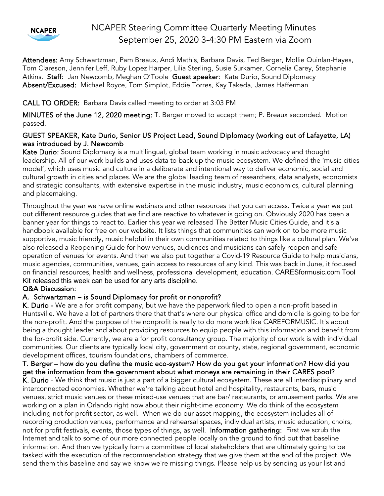

# NCAPER Steering Committee Quarterly Meeting Minutes September 25, 2020 3-4:30 PM Eastern via Zoom

Attendees: Amy Schwartzman, Pam Breaux, Andi Mathis, Barbara Davis, Ted Berger, Mollie Quinlan-Hayes, Tom Clareson, Jennifer Leff, Ruby Lopez Harper, Lilia Sterling, Susie Surkamer, Cornelia Carey, Stephanie Atkins. Staff: Jan Newcomb, Meghan O'Toole Guest speaker: Kate Durio, Sound Diplomacy Absent/Excused: Michael Royce, Tom Simplot, Eddie Torres, Kay Takeda, James Hafferman

### CALL TO ORDER: Barbara Davis called meeting to order at 3:03 PM

MINUTES of the June 12, 2020 meeting: T. Berger moved to accept them; P. Breaux seconded. Motion passed.

### GUEST SPEAKER, Kate Durio, Senior US Project Lead, Sound Diplomacy (working out of Lafayette, LA) was introduced by J. Newcomb

Kate Durio: Sound Diplomacy is a multilingual, global team working in music advocacy and thought leadership. All of our work builds and uses data to back up the music ecosystem. We defined the 'music cities model', which uses music and culture in a deliberate and intentional way to deliver economic, social and cultural growth in cities and places. We are the global leading team of researchers, data analysts, economists and strategic consultants, with extensive expertise in the music industry, music economics, cultural planning and placemaking.

Throughout the year we have online webinars and other resources that you can access. Twice a year we put out different resource guides that we find are reactive to whatever is going on. Obviously 2020 has been a banner year for things to react to. Earlier this year we released The Better Music Cities Guide, and it's a handbook available for free on our website. It lists things that communities can work on to be more music supportive, music friendly, music helpful in their own communities related to things like a cultural plan. We've also released a Reopening Guide for how venues, audiences and musicians can safely reopen and safe operation of venues for events. And then we also put together a Covid-19 Resource Guide to help musicians, music agencies, communities, venues, gain access to resources of any kind. This was back in June, it focused on financial resources, health and wellness, professional development, education. CARESformusic.com Tool Kit released this week can be used for any arts discipline.

### Q&A Discussion:

### A. Schwartzman – is Sound Diplomacy for profit or nonprofit?

K. Durio - We are a for profit company, but we have the paperwork filed to open a non-profit based in Huntsville. We have a lot of partners there that that's where our physical office and domicile is going to be for the non-profit. And the purpose of the nonprofit is really to do more work like CAREFORMUSIC. It's about being a thought leader and about providing resources to equip people with this information and benefit from the for-profit side. Currently, we are a for profit consultancy group. The majority of our work is with individual communities. Our clients are typically local city, government or county, state, regional government, economic development offices, tourism foundations, chambers of commerce.

T. Berger – how do you define the music eco-system? How do you get your information? How did you get the information from the government about what moneys are remaining in their CARES pool? K. Durio - We think that music is just a part of a bigger cultural ecosystem. These are all interdisciplinary and interconnected economies. Whether we're talking about hotel and hospitality, restaurants, bars, music venues, strict music venues or these mixed-use venues that are bar/ restaurants, or amusement parks. We are

working on a plan in Orlando right now about their night-time economy. We do think of the ecosystem including not for profit sector, as well. When we do our asset mapping, the ecosystem includes all of recording production venues, performance and rehearsal spaces, individual artists, music education, choirs, not for profit festivals, events, those types of things, as well. Information gathering: First we scrub the Internet and talk to some of our more connected people locally on the ground to find out that baseline information. And then we typically form a committee of local stakeholders that are ultimately going to be tasked with the execution of the recommendation strategy that we give them at the end of the project. We send them this baseline and say we know we're missing things. Please help us by sending us your list and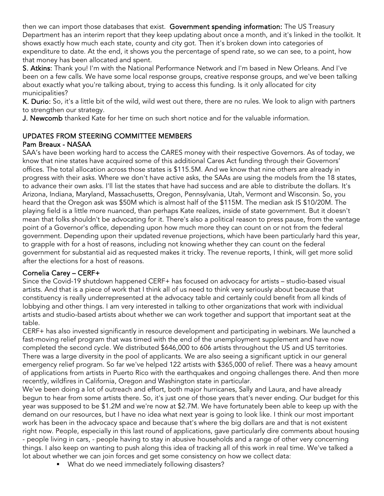then we can import those databases that exist. Government spending information: The US Treasury Department has an interim report that they keep updating about once a month, and it's linked in the toolkit. It shows exactly how much each state, county and city got. Then it's broken down into categories of expenditure to date. At the end, it shows you the percentage of spend rate, so we can see, to a point, how that money has been allocated and spent.

S. Atkins: Thank you! I'm with the National Performance Network and I'm based in New Orleans. And I've been on a few calls. We have some local response groups, creative response groups, and we've been talking about exactly what you're talking about, trying to access this funding. Is it only allocated for city municipalities?

K. Durio: So, it's a little bit of the wild, wild west out there, there are no rules. We look to align with partners to strengthen our strategy.

J. Newcomb thanked Kate for her time on such short notice and for the valuable information.

# UPDATES FROM STEERING COMMITTEE MEMBERS

# Pam Breaux - NASAA

SAA's have been working hard to access the CARES money with their respective Governors. As of today, we know that nine states have acquired some of this additional Cares Act funding through their Governors' offices. The total allocation across those states is \$115.5M. And we know that nine others are already in progress with their asks. Where we don't have active asks, the SAAs are using the models from the 18 states, to advance their own asks. I'll list the states that have had success and are able to distribute the dollars. It's Arizona, Indiana, Maryland, Massachusetts, Oregon, Pennsylvania, Utah, Vermont and Wisconsin. So, you heard that the Oregon ask was \$50M which is almost half of the \$115M. The median ask IS \$10/20M. The playing field is a little more nuanced, than perhaps Kate realizes, inside of state government. But it doesn't mean that folks shouldn't be advocating for it. There's also a political reason to press pause, from the vantage point of a Governor's office, depending upon how much more they can count on or not from the federal government. Depending upon their updated revenue projections, which have been particularly hard this year, to grapple with for a host of reasons, including not knowing whether they can count on the federal government for substantial aid as requested makes it tricky. The revenue reports, I think, will get more solid after the elections for a host of reasons.

# Cornelia Carey – CERF+

Since the Covid-19 shutdown happened CERF+ has focused on advocacy for artists – studio-based visual artists. And that is a piece of work that I think all of us need to think very seriously about because that constituency is really underrepresented at the advocacy table and certainly could benefit from all kinds of lobbying and other things. I am very interested in talking to other organizations that work with individual artists and studio-based artists about whether we can work together and support that important seat at the table.

CERF+ has also invested significantly in resource development and participating in webinars. We launched a fast-moving relief program that was timed with the end of the unemployment supplement and have now completed the second cycle. We distributed \$646,000 to 606 artists throughout the US and US territories. There was a large diversity in the pool of applicants. We are also seeing a significant uptick in our general emergency relief program. So far we've helped 122 artists with \$365,000 of relief. There was a heavy amount of applications from artists in Puerto Rico with the earthquakes and ongoing challenges there. And then more recently, wildfires in California, Oregon and Washington state in particular.

We've been doing a lot of outreach and effort, both major hurricanes, Sally and Laura, and have already begun to hear from some artists there. So, it's just one of those years that's never ending. Our budget for this year was supposed to be \$1.2M and we're now at \$2.7M. We have fortunately been able to keep up with the demand on our resources, but I have no idea what next year is going to look like. I think our most important work has been in the advocacy space and because that's where the big dollars are and that is not existent right now. People, especially in this last round of applications, gave particularly dire comments about housing - people living in cars, - people having to stay in abusive households and a range of other very concerning things. I also keep on wanting to push along this idea of tracking all of this work in real time. We've talked a lot about whether we can join forces and get some consistency on how we collect data:

**What do we need immediately following disasters?**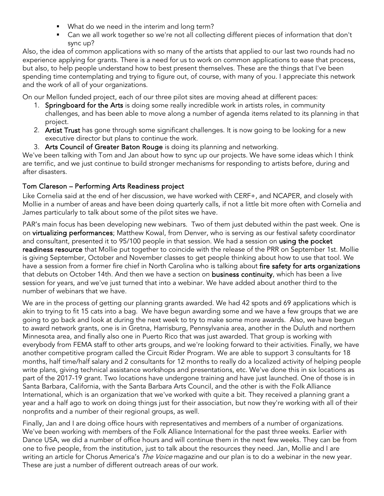- What do we need in the interim and long term?
- Can we all work together so we're not all collecting different pieces of information that don't sync up?

Also, the idea of common applications with so many of the artists that applied to our last two rounds had no experience applying for grants. There is a need for us to work on common applications to ease that process, but also, to help people understand how to best present themselves. These are the things that I've been spending time contemplating and trying to figure out, of course, with many of you. I appreciate this network and the work of all of your organizations.

On our Mellon funded project, each of our three pilot sites are moving ahead at different paces:

- 1. Springboard for the Arts is doing some really incredible work in artists roles, in community challenges, and has been able to move along a number of agenda items related to its planning in that project.
- 2. Artist Trust has gone through some significant challenges. It is now going to be looking for a new executive director but plans to continue the work.
- 3. Arts Council of Greater Baton Rouge is doing its planning and networking.

We've been talking with Tom and Jan about how to sync up our projects. We have some ideas which I think are terrific, and we just continue to build stronger mechanisms for responding to artists before, during and after disasters.

### Tom Clareson – Performing Arts Readiness project

Like Cornelia said at the end of her discussion, we have worked with CERF+, and NCAPER, and closely with Mollie in a number of areas and have been doing quarterly calls, if not a little bit more often with Cornelia and James particularly to talk about some of the pilot sites we have.

PAR's main focus has been developing new webinars. Two of them just debuted within the past week. One is on virtualizing performances; Matthew Kowal, from Denver, who is serving as our festival safety coordinator and consultant, presented it to 95/100 people in that session. We had a session on using the pocket readiness resource that Mollie put together to coincide with the release of the PRR on September 1st. Mollie is giving September, October and November classes to get people thinking about how to use that tool. We have a session from a former fire chief in North Carolina who is talking about fire safety for arts organizations that debuts on October 14th. And then we have a section on business continuity, which has been a live session for years, and we've just turned that into a webinar. We have added about another third to the number of webinars that we have.

We are in the process of getting our planning grants awarded. We had 42 spots and 69 applications which is akin to trying to fit 15 cats into a bag. We have begun awarding some and we have a few groups that we are going to go back and look at during the next week to try to make some more awards. Also, we have begun to award network grants, one is in Gretna, Harrisburg, Pennsylvania area, another in the Duluth and northern Minnesota area, and finally also one in Puerto Rico that was just awarded. That group is working with everybody from FEMA staff to other arts groups, and we're looking forward to their activities. Finally, we have another competitive program called the Circuit Rider Program. We are able to support 3 consultants for 18 months, half time/half salary and 2 consultants for 12 months to really do a localized activity of helping people write plans, giving technical assistance workshops and presentations, etc. We've done this in six locations as part of the 2017-19 grant. Two locations have undergone training and have just launched. One of those is in Santa Barbara, California, with the Santa Barbara Arts Council, and the other is with the Folk Alliance International, which is an organization that we've worked with quite a bit. They received a planning grant a year and a half ago to work on doing things just for their association, but now they're working with all of their nonprofits and a number of their regional groups, as well.

Finally, Jan and I are doing office hours with representatives and members of a number of organizations. We've been working with members of the Folk Alliance International for the past three weeks. Earlier with Dance USA, we did a number of office hours and will continue them in the next few weeks. They can be from one to five people, from the institution, just to talk about the resources they need. Jan, Mollie and I are writing an article for Chorus America's The Voice magazine and our plan is to do a webinar in the new year. These are just a number of different outreach areas of our work.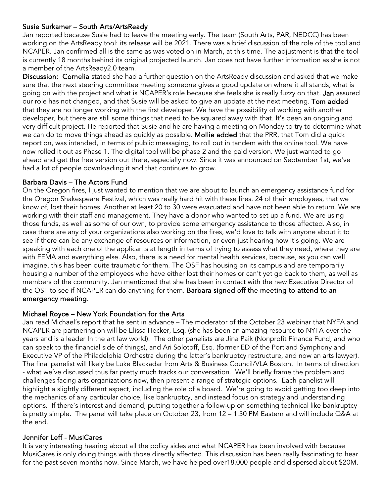#### Susie Surkamer – South Arts/ArtsReady

Jan reported because Susie had to leave the meeting early. The team (South Arts, PAR, NEDCC) has been working on the ArtsReady tool: its release will be 2021. There was a brief discussion of the role of the tool and NCAPER. Jan confirmed all is the same as was voted on in March, at this time. The adjustment is that the tool is currently 18 months behind its original projected launch. Jan does not have further information as she is not a member of the ArtsReady2.0 team.

Discussion: Cornelia stated she had a further question on the ArtsReady discussion and asked that we make sure that the next steering committee meeting someone gives a good update on where it all stands, what is going on with the project and what is NCAPER's role because she feels she is really fuzzy on that. Jan assured our role has not changed, and that Susie will be asked to give an update at the next meeting. Tom added that they are no longer working with the first developer. We have the possibility of working with another developer, but there are still some things that need to be squared away with that. It's been an ongoing and very difficult project. He reported that Susie and he are having a meeting on Monday to try to determine what we can do to move things ahead as quickly as possible. Mollie added that the PRR, that Tom did a quick report on, was intended, in terms of public messaging, to roll out in tandem with the online tool. We have now rolled it out as Phase 1. The digital tool will be phase 2 and the paid version. We just wanted to go ahead and get the free version out there, especially now. Since it was announced on September 1st, we've had a lot of people downloading it and that continues to grow.

#### Barbara Davis – The Actors Fund

On the Oregon fires, I just wanted to mention that we are about to launch an emergency assistance fund for the Oregon Shakespeare Festival, which was really hard hit with these fires. 24 of their employees, that we know of, lost their homes. Another at least 20 to 30 were evacuated and have not been able to return. We are working with their staff and management. They have a donor who wanted to set up a fund. We are using those funds, as well as some of our own, to provide some emergency assistance to those affected. Also, in case there are any of your organizations also working on the fires, we'd love to talk with anyone about it to see if there can be any exchange of resources or information, or even just hearing how it's going. We are speaking with each one of the applicants at length in terms of trying to assess what they need, where they are with FEMA and everything else. Also, there is a need for mental health services, because, as you can well imagine, this has been quite traumatic for them. The OSF has housing on its campus and are temporarily housing a number of the employees who have either lost their homes or can't yet go back to them, as well as members of the community. Jan mentioned that she has been in contact with the new Executive Director of the OSF to see if NCAPER can do anything for them. Barbara signed off the meeting to attend to an emergency meeting.

#### Michael Royce – New York Foundation for the Arts

Jan read Michael's report that he sent in advance – The moderator of the October 23 webinar that NYFA and NCAPER are partnering on will be Elissa Hecker, Esq. (she has been an amazing resource to NYFA over the years and is a leader In the art law world). The other panelists are Jina Paik (Nonprofit Finance Fund, and who can speak to the financial side of things), and Ari Solotoff, Esq. (former ED of the Portland Symphony and Executive VP of the Philadelphia Orchestra during the latter's bankruptcy restructure, and now an arts lawyer). The final panelist will likely be Luke Blackadar from Arts & Business Council/VLA Boston. In terms of direction - what we've discussed thus far pretty much tracks our conversation. We'll briefly frame the problem and challenges facing arts organizations now, then present a range of strategic options. Each panelist will highlight a slightly different aspect, including the role of a board. We're going to avoid getting too deep into the mechanics of any particular choice, like bankruptcy, and instead focus on strategy and understanding options. If there's interest and demand, putting together a follow-up on something technical like bankruptcy is pretty simple. The panel will take place on October 23, from 12 – 1:30 PM Eastern and will include Q&A at the end.

#### Jennifer Leff - MusiCares

It is very interesting hearing about all the policy sides and what NCAPER has been involved with because MusiCares is only doing things with those directly affected. This discussion has been really fascinating to hear for the past seven months now. Since March, we have helped over18,000 people and dispersed about \$20M.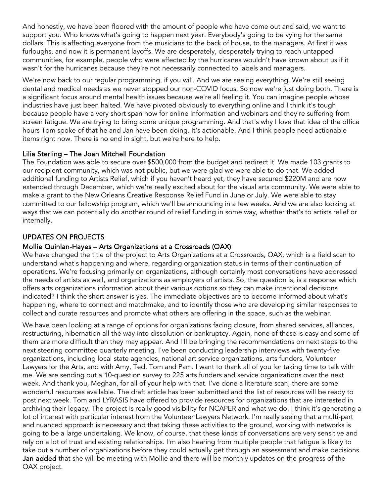And honestly, we have been floored with the amount of people who have come out and said, we want to support you. Who knows what's going to happen next year. Everybody's going to be vying for the same dollars. This is affecting everyone from the musicians to the back of house, to the managers. At first it was furloughs, and now it is permanent layoffs. We are desperately, desperately trying to reach untapped communities, for example, people who were affected by the hurricanes wouldn't have known about us if it wasn't for the hurricanes because they're not necessarily connected to labels and managers.

We're now back to our regular programming, if you will. And we are seeing everything. We're still seeing dental and medical needs as we never stopped our non-COVID focus. So now we're just doing both. There is a significant focus around mental health issues because we're all feeling it. You can imagine people whose industries have just been halted. We have pivoted obviously to everything online and I think it's tough because people have a very short span now for online information and webinars and they're suffering from screen fatigue. We are trying to bring some unique programming. And that's why I love that idea of the office hours Tom spoke of that he and Jan have been doing. It's actionable. And I think people need actionable items right now. There is no end in sight, but we're here to help.

### Lilia Sterling – The Joan Mitchell Foundation

The Foundation was able to secure over \$500,000 from the budget and redirect it. We made 103 grants to our recipient community, which was not public, but we were glad we were able to do that. We added additional funding to Artists Relief, which if you haven't heard yet, they have secured \$220M and are now extended through December, which we're really excited about for the visual arts community. We were able to make a grant to the New Orleans Creative Response Relief Fund in June or July. We were able to stay committed to our fellowship program, which we'll be announcing in a few weeks. And we are also looking at ways that we can potentially do another round of relief funding in some way, whether that's to artists relief or internally.

# UPDATES ON PROJECTS

## Mollie Quinlan-Hayes – Arts Organizations at a Crossroads (OAX)

We have changed the title of the project to Arts Organizations at a Crossroads, OAX, which is a field scan to understand what's happening and where, regarding organization status in terms of their continuation of operations. We're focusing primarily on organizations, although certainly most conversations have addressed the needs of artists as well, and organizations as employers of artists. So, the question is, is a response which offers arts organizations information about their various options so they can make intentional decisions indicated? I think the short answer is yes. The immediate objectives are to become informed about what's happening, where to connect and matchmake, and to identify those who are developing similar responses to collect and curate resources and promote what others are offering in the space, such as the webinar.

We have been looking at a range of options for organizations facing closure, from shared services, alliances, restructuring, hibernation all the way into dissolution or bankruptcy. Again, none of these is easy and some of them are more difficult than they may appear. And I'll be bringing the recommendations on next steps to the next steering committee quarterly meeting. I've been conducting leadership interviews with twenty-five organizations, including local state agencies, national art service organizations, arts funders, Volunteer Lawyers for the Arts, and with Amy, Ted, Tom and Pam. I want to thank all of you for taking time to talk with me. We are sending out a 10-question survey to 225 arts funders and service organizations over the next week. And thank you, Meghan, for all of your help with that. I've done a literature scan, there are some wonderful resources available. The draft article has been submitted and the list of resources will be ready to post next week. Tom and LYRASIS have offered to provide resources for organizations that are interested in archiving their legacy. The project is really good visibility for NCAPER and what we do. I think it's generating a lot of interest with particular interest from the Volunteer Lawyers Network. I'm really seeing that a multi-part and nuanced approach is necessary and that taking these activities to the ground, working with networks is going to be a large undertaking. We know, of course, that these kinds of conversations are very sensitive and rely on a lot of trust and existing relationships. I'm also hearing from multiple people that fatigue is likely to take out a number of organizations before they could actually get through an assessment and make decisions. Jan added that she will be meeting with Mollie and there will be monthly updates on the progress of the OAX project.